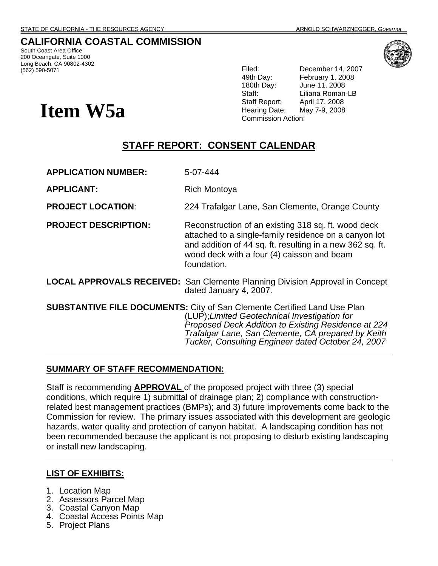# **CALIFORNIA COASTAL COMMISSION**

South Coast Area Office 200 Oceangate, Suite 1000 Long Beach, CA 90802-4302<br>(562) 590-5071

Filed: December 14, 2007 49th Day: February 1, 2008 180th Day: June 11, 2008 Staff: Liliana Roman-LB Staff Report: April 17, 2008 **Item W5a** Bearing Date: May 7-9, 2008

# **STAFF REPORT: CONSENT CALENDAR**

**APPLICATION NUMBER:** 5-07-444

**APPLICANT:** Rich Montoya

**PROJECT LOCATION**: 224 Trafalgar Lane, San Clemente, Orange County

- **PROJECT DESCRIPTION:** Reconstruction of an existing 318 sq. ft. wood deck attached to a single-family residence on a canyon lot and addition of 44 sq. ft. resulting in a new 362 sq. ft. wood deck with a four (4) caisson and beam foundation.
- **LOCAL APPROVALS RECEIVED:** San Clemente Planning Division Approval in Concept dated January 4, 2007.
- **SUBSTANTIVE FILE DOCUMENTS:** City of San Clemente Certified Land Use Plan (LUP);*Limited Geotechnical Investigation for Proposed Deck Addition to Existing Residence at 224 Trafalgar Lane, San Clemente, CA prepared by Keith Tucker, Consulting Engineer dated October 24, 2007*

### **SUMMARY OF STAFF RECOMMENDATION:**

Staff is recommending **APPROVAL** of the proposed project with three (3) special conditions, which require 1) submittal of drainage plan; 2) compliance with constructionrelated best management practices (BMPs); and 3) future improvements come back to the Commission for review. The primary issues associated with this development are geologic hazards, water quality and protection of canyon habitat. A landscaping condition has not been recommended because the applicant is not proposing to disturb existing landscaping or install new landscaping.

### **LIST OF EXHIBITS:**

- 1. Location Map
- 2. Assessors Parcel Map
- 3. Coastal Canyon Map
- 4. Coastal Access Points Map
- 5. Project Plans

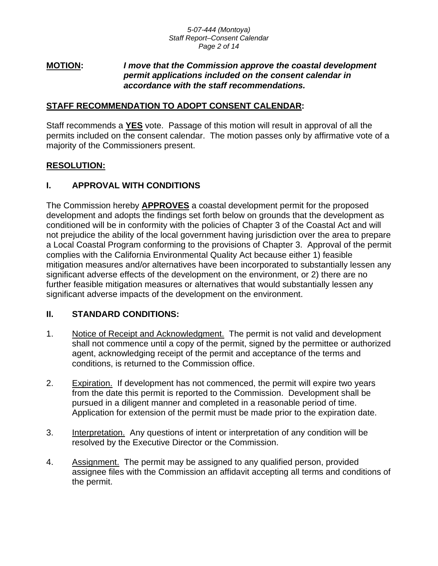#### *5-07-444 (Montoya) Staff Report–Consent Calendar Page 2 of 14*

### **MOTION:** *I move that the Commission approve the coastal development permit applications included on the consent calendar in accordance with the staff recommendations.*

### **STAFF RECOMMENDATION TO ADOPT CONSENT CALENDAR:**

Staff recommends a **YES** vote. Passage of this motion will result in approval of all the permits included on the consent calendar. The motion passes only by affirmative vote of a majority of the Commissioners present.

### **RESOLUTION:**

### **I. APPROVAL WITH CONDITIONS**

The Commission hereby **APPROVES** a coastal development permit for the proposed development and adopts the findings set forth below on grounds that the development as conditioned will be in conformity with the policies of Chapter 3 of the Coastal Act and will not prejudice the ability of the local government having jurisdiction over the area to prepare a Local Coastal Program conforming to the provisions of Chapter 3. Approval of the permit complies with the California Environmental Quality Act because either 1) feasible mitigation measures and/or alternatives have been incorporated to substantially lessen any significant adverse effects of the development on the environment, or 2) there are no further feasible mitigation measures or alternatives that would substantially lessen any significant adverse impacts of the development on the environment.

### **II. STANDARD CONDITIONS:**

- 1. Notice of Receipt and Acknowledgment. The permit is not valid and development shall not commence until a copy of the permit, signed by the permittee or authorized agent, acknowledging receipt of the permit and acceptance of the terms and conditions, is returned to the Commission office.
- 2. Expiration. If development has not commenced, the permit will expire two years from the date this permit is reported to the Commission. Development shall be pursued in a diligent manner and completed in a reasonable period of time. Application for extension of the permit must be made prior to the expiration date.
- 3. Interpretation. Any questions of intent or interpretation of any condition will be resolved by the Executive Director or the Commission.
- 4. Assignment. The permit may be assigned to any qualified person, provided assignee files with the Commission an affidavit accepting all terms and conditions of the permit.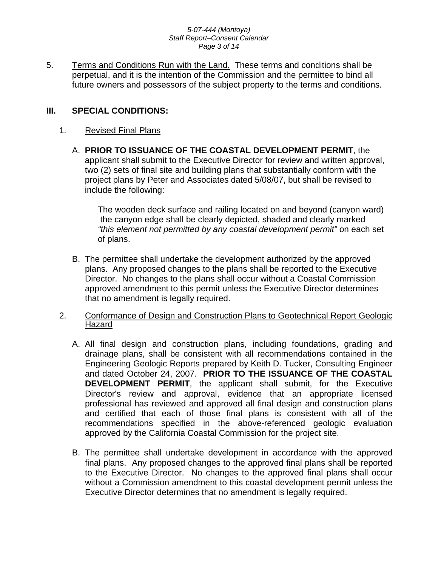#### *5-07-444 (Montoya) Staff Report–Consent Calendar Page 3 of 14*

5. Terms and Conditions Run with the Land. These terms and conditions shall be perpetual, and it is the intention of the Commission and the permittee to bind all future owners and possessors of the subject property to the terms and conditions.

### **III. SPECIAL CONDITIONS:**

### 1. Revised Final Plans

A. **PRIOR TO ISSUANCE OF THE COASTAL DEVELOPMENT PERMIT**, the applicant shall submit to the Executive Director for review and written approval, two (2) sets of final site and building plans that substantially conform with the project plans by Peter and Associates dated 5/08/07, but shall be revised to include the following:

 The wooden deck surface and railing located on and beyond (canyon ward) the canyon edge shall be clearly depicted, shaded and clearly marked *"this element not permitted by any coastal development permit"* on each set of plans.

B. The permittee shall undertake the development authorized by the approved plans. Any proposed changes to the plans shall be reported to the Executive Director. No changes to the plans shall occur without a Coastal Commission approved amendment to this permit unless the Executive Director determines that no amendment is legally required.

### 2. Conformance of Design and Construction Plans to Geotechnical Report Geologic Hazard

- A. All final design and construction plans, including foundations, grading and drainage plans, shall be consistent with all recommendations contained in the Engineering Geologic Reports prepared by Keith D. Tucker, Consulting Engineer and dated October 24, 2007. **PRIOR TO THE ISSUANCE OF THE COASTAL DEVELOPMENT PERMIT**, the applicant shall submit, for the Executive Director's review and approval, evidence that an appropriate licensed professional has reviewed and approved all final design and construction plans and certified that each of those final plans is consistent with all of the recommendations specified in the above-referenced geologic evaluation approved by the California Coastal Commission for the project site.
- B. The permittee shall undertake development in accordance with the approved final plans. Any proposed changes to the approved final plans shall be reported to the Executive Director. No changes to the approved final plans shall occur without a Commission amendment to this coastal development permit unless the Executive Director determines that no amendment is legally required.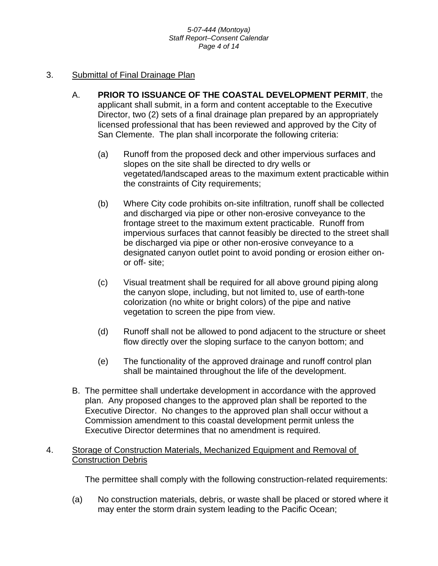#### *5-07-444 (Montoya) Staff Report–Consent Calendar Page 4 of 14*

### 3. Submittal of Final Drainage Plan

- A. **PRIOR TO ISSUANCE OF THE COASTAL DEVELOPMENT PERMIT**, the applicant shall submit, in a form and content acceptable to the Executive Director, two (2) sets of a final drainage plan prepared by an appropriately licensed professional that has been reviewed and approved by the City of San Clemente. The plan shall incorporate the following criteria:
	- (a) Runoff from the proposed deck and other impervious surfaces and slopes on the site shall be directed to dry wells or vegetated/landscaped areas to the maximum extent practicable within the constraints of City requirements;
	- (b) Where City code prohibits on-site infiltration, runoff shall be collected and discharged via pipe or other non-erosive conveyance to the frontage street to the maximum extent practicable. Runoff from impervious surfaces that cannot feasibly be directed to the street shall be discharged via pipe or other non-erosive conveyance to a designated canyon outlet point to avoid ponding or erosion either onor off- site;
	- (c) Visual treatment shall be required for all above ground piping along the canyon slope, including, but not limited to, use of earth-tone colorization (no white or bright colors) of the pipe and native vegetation to screen the pipe from view.
	- (d) Runoff shall not be allowed to pond adjacent to the structure or sheet flow directly over the sloping surface to the canyon bottom; and
	- (e) The functionality of the approved drainage and runoff control plan shall be maintained throughout the life of the development.
- B. The permittee shall undertake development in accordance with the approved plan. Any proposed changes to the approved plan shall be reported to the Executive Director. No changes to the approved plan shall occur without a Commission amendment to this coastal development permit unless the Executive Director determines that no amendment is required.

### 4. Storage of Construction Materials, Mechanized Equipment and Removal of Construction Debris

The permittee shall comply with the following construction-related requirements:

(a) No construction materials, debris, or waste shall be placed or stored where it may enter the storm drain system leading to the Pacific Ocean;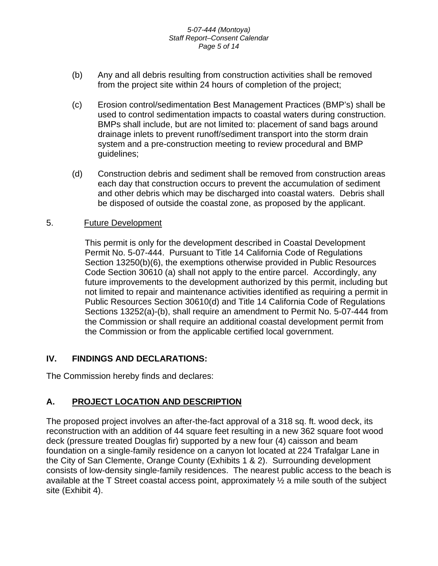### *5-07-444 (Montoya) Staff Report–Consent Calendar Page 5 of 14*

- (b) Any and all debris resulting from construction activities shall be removed from the project site within 24 hours of completion of the project;
- (c) Erosion control/sedimentation Best Management Practices (BMP's) shall be used to control sedimentation impacts to coastal waters during construction. BMPs shall include, but are not limited to: placement of sand bags around drainage inlets to prevent runoff/sediment transport into the storm drain system and a pre-construction meeting to review procedural and BMP guidelines;
- (d) Construction debris and sediment shall be removed from construction areas each day that construction occurs to prevent the accumulation of sediment and other debris which may be discharged into coastal waters. Debris shall be disposed of outside the coastal zone, as proposed by the applicant.

### 5. Future Development

This permit is only for the development described in Coastal Development Permit No. 5-07-444. Pursuant to Title 14 California Code of Regulations Section 13250(b)(6), the exemptions otherwise provided in Public Resources Code Section 30610 (a) shall not apply to the entire parcel. Accordingly, any future improvements to the development authorized by this permit, including but not limited to repair and maintenance activities identified as requiring a permit in Public Resources Section 30610(d) and Title 14 California Code of Regulations Sections 13252(a)-(b), shall require an amendment to Permit No. 5-07-444 from the Commission or shall require an additional coastal development permit from the Commission or from the applicable certified local government.

### **IV. FINDINGS AND DECLARATIONS:**

The Commission hereby finds and declares:

### **A. PROJECT LOCATION AND DESCRIPTION**

The proposed project involves an after-the-fact approval of a 318 sq. ft. wood deck, its reconstruction with an addition of 44 square feet resulting in a new 362 square foot wood deck (pressure treated Douglas fir) supported by a new four (4) caisson and beam foundation on a single-family residence on a canyon lot located at 224 Trafalgar Lane in the City of San Clemente, Orange County (Exhibits 1 & 2). Surrounding development consists of low-density single-family residences. The nearest public access to the beach is available at the T Street coastal access point, approximately ½ a mile south of the subject site (Exhibit 4).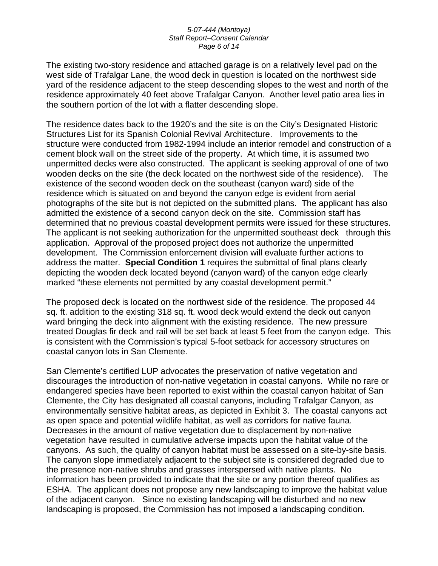#### *5-07-444 (Montoya) Staff Report–Consent Calendar Page 6 of 14*

The existing two-story residence and attached garage is on a relatively level pad on the west side of Trafalgar Lane, the wood deck in question is located on the northwest side yard of the residence adjacent to the steep descending slopes to the west and north of the residence approximately 40 feet above Trafalgar Canyon. Another level patio area lies in the southern portion of the lot with a flatter descending slope.

The residence dates back to the 1920's and the site is on the City's Designated Historic Structures List for its Spanish Colonial Revival Architecture. Improvements to the structure were conducted from 1982-1994 include an interior remodel and construction of a cement block wall on the street side of the property. At which time, it is assumed two unpermitted decks were also constructed. The applicant is seeking approval of one of two wooden decks on the site (the deck located on the northwest side of the residence). The existence of the second wooden deck on the southeast (canyon ward) side of the residence which is situated on and beyond the canyon edge is evident from aerial photographs of the site but is not depicted on the submitted plans. The applicant has also admitted the existence of a second canyon deck on the site. Commission staff has determined that no previous coastal development permits were issued for these structures. The applicant is not seeking authorization for the unpermitted southeast deck through this application. Approval of the proposed project does not authorize the unpermitted development. The Commission enforcement division will evaluate further actions to address the matter. **Special Condition 1** requires the submittal of final plans clearly depicting the wooden deck located beyond (canyon ward) of the canyon edge clearly marked "these elements not permitted by any coastal development permit."

The proposed deck is located on the northwest side of the residence. The proposed 44 sq. ft. addition to the existing 318 sq. ft. wood deck would extend the deck out canyon ward bringing the deck into alignment with the existing residence. The new pressure treated Douglas fir deck and rail will be set back at least 5 feet from the canyon edge. This is consistent with the Commission's typical 5-foot setback for accessory structures on coastal canyon lots in San Clemente.

San Clemente's certified LUP advocates the preservation of native vegetation and discourages the introduction of non-native vegetation in coastal canyons. While no rare or endangered species have been reported to exist within the coastal canyon habitat of San Clemente, the City has designated all coastal canyons, including Trafalgar Canyon, as environmentally sensitive habitat areas, as depicted in Exhibit 3. The coastal canyons act as open space and potential wildlife habitat, as well as corridors for native fauna. Decreases in the amount of native vegetation due to displacement by non-native vegetation have resulted in cumulative adverse impacts upon the habitat value of the canyons. As such, the quality of canyon habitat must be assessed on a site-by-site basis. The canyon slope immediately adjacent to the subject site is considered degraded due to the presence non-native shrubs and grasses interspersed with native plants. No information has been provided to indicate that the site or any portion thereof qualifies as ESHA. The applicant does not propose any new landscaping to improve the habitat value of the adjacent canyon. Since no existing landscaping will be disturbed and no new landscaping is proposed, the Commission has not imposed a landscaping condition.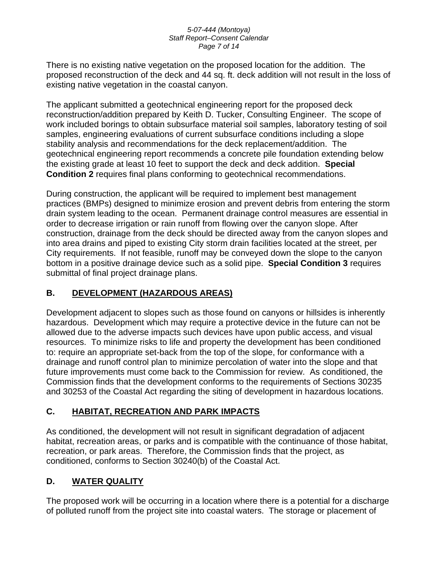#### *5-07-444 (Montoya) Staff Report–Consent Calendar Page 7 of 14*

There is no existing native vegetation on the proposed location for the addition. The proposed reconstruction of the deck and 44 sq. ft. deck addition will not result in the loss of existing native vegetation in the coastal canyon.

The applicant submitted a geotechnical engineering report for the proposed deck reconstruction/addition prepared by Keith D. Tucker, Consulting Engineer. The scope of work included borings to obtain subsurface material soil samples, laboratory testing of soil samples, engineering evaluations of current subsurface conditions including a slope stability analysis and recommendations for the deck replacement/addition. The geotechnical engineering report recommends a concrete pile foundation extending below the existing grade at least 10 feet to support the deck and deck addition. **Special Condition 2** requires final plans conforming to geotechnical recommendations.

During construction, the applicant will be required to implement best management practices (BMPs) designed to minimize erosion and prevent debris from entering the storm drain system leading to the ocean. Permanent drainage control measures are essential in order to decrease irrigation or rain runoff from flowing over the canyon slope. After construction, drainage from the deck should be directed away from the canyon slopes and into area drains and piped to existing City storm drain facilities located at the street, per City requirements. If not feasible, runoff may be conveyed down the slope to the canyon bottom in a positive drainage device such as a solid pipe. **Special Condition 3** requires submittal of final project drainage plans.

## **B. DEVELOPMENT (HAZARDOUS AREAS)**

Development adjacent to slopes such as those found on canyons or hillsides is inherently hazardous. Development which may require a protective device in the future can not be allowed due to the adverse impacts such devices have upon public access, and visual resources. To minimize risks to life and property the development has been conditioned to: require an appropriate set-back from the top of the slope, for conformance with a drainage and runoff control plan to minimize percolation of water into the slope and that future improvements must come back to the Commission for review. As conditioned, the Commission finds that the development conforms to the requirements of Sections 30235 and 30253 of the Coastal Act regarding the siting of development in hazardous locations.

## **C. HABITAT, RECREATION AND PARK IMPACTS**

As conditioned, the development will not result in significant degradation of adjacent habitat, recreation areas, or parks and is compatible with the continuance of those habitat, recreation, or park areas. Therefore, the Commission finds that the project, as conditioned, conforms to Section 30240(b) of the Coastal Act.

# **D. WATER QUALITY**

The proposed work will be occurring in a location where there is a potential for a discharge of polluted runoff from the project site into coastal waters. The storage or placement of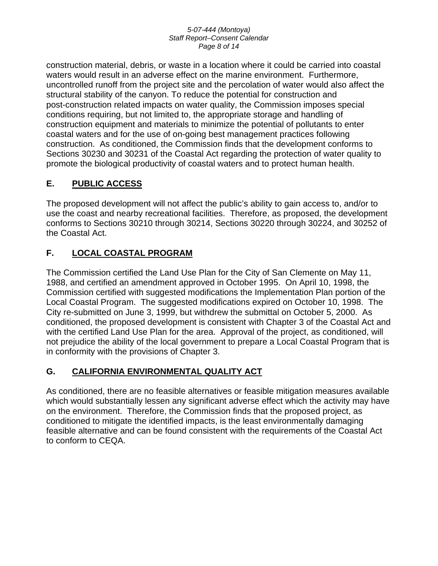construction material, debris, or waste in a location where it could be carried into coastal waters would result in an adverse effect on the marine environment. Furthermore, uncontrolled runoff from the project site and the percolation of water would also affect the structural stability of the canyon. To reduce the potential for construction and post-construction related impacts on water quality, the Commission imposes special conditions requiring, but not limited to, the appropriate storage and handling of construction equipment and materials to minimize the potential of pollutants to enter coastal waters and for the use of on-going best management practices following construction. As conditioned, the Commission finds that the development conforms to Sections 30230 and 30231 of the Coastal Act regarding the protection of water quality to promote the biological productivity of coastal waters and to protect human health.

# **E. PUBLIC ACCESS**

The proposed development will not affect the public's ability to gain access to, and/or to use the coast and nearby recreational facilities. Therefore, as proposed, the development conforms to Sections 30210 through 30214, Sections 30220 through 30224, and 30252 of the Coastal Act.

# **F. LOCAL COASTAL PROGRAM**

The Commission certified the Land Use Plan for the City of San Clemente on May 11, 1988, and certified an amendment approved in October 1995. On April 10, 1998, the Commission certified with suggested modifications the Implementation Plan portion of the Local Coastal Program. The suggested modifications expired on October 10, 1998. The City re-submitted on June 3, 1999, but withdrew the submittal on October 5, 2000. As conditioned, the proposed development is consistent with Chapter 3 of the Coastal Act and with the certified Land Use Plan for the area. Approval of the project, as conditioned, will not prejudice the ability of the local government to prepare a Local Coastal Program that is in conformity with the provisions of Chapter 3.

## **G. CALIFORNIA ENVIRONMENTAL QUALITY ACT**

As conditioned, there are no feasible alternatives or feasible mitigation measures available which would substantially lessen any significant adverse effect which the activity may have on the environment. Therefore, the Commission finds that the proposed project, as conditioned to mitigate the identified impacts, is the least environmentally damaging feasible alternative and can be found consistent with the requirements of the Coastal Act to conform to CEQA.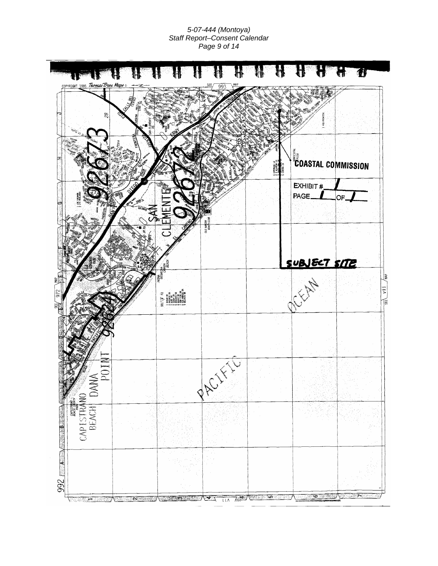*5-07-444 (Montoya) Staff Report–Consent Calendar Page 9 of 14*

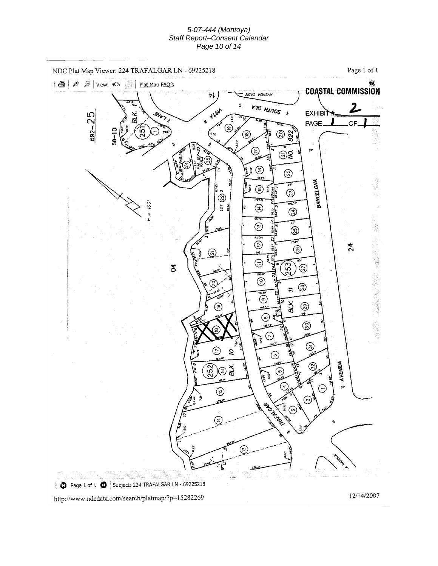#### *5-07-444 (Montoya) Staff Report–Consent Calendar Page 10 of 14*



http://www.ndcdata.com/search/platmap/?p=15282269

12/14/2007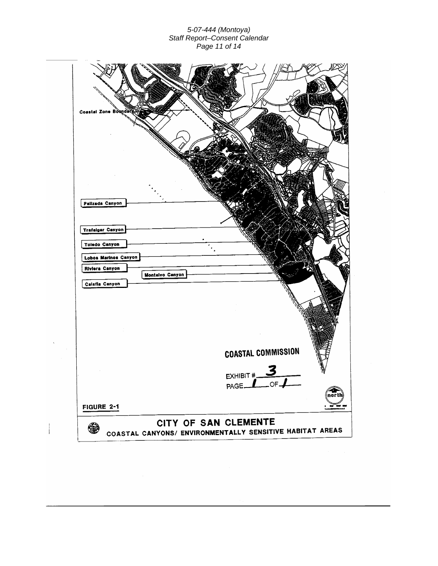*5-07-444 (Montoya) Staff Report–Consent Calendar Page 11 of 14*

| Cosstal Zone Böundi                             |                                                          |                                                            |        |
|-------------------------------------------------|----------------------------------------------------------|------------------------------------------------------------|--------|
|                                                 |                                                          |                                                            |        |
|                                                 |                                                          |                                                            |        |
| Palizada Canyon                                 |                                                          |                                                            |        |
| <b>Trafalgar Canyon</b><br><b>Toledo Canyon</b> |                                                          |                                                            |        |
| Lobos Marinos Canyon<br>Riviera Canyon          |                                                          |                                                            |        |
| Calafia Canyon                                  | Montalvo Canyon                                          |                                                            |        |
|                                                 |                                                          |                                                            |        |
|                                                 |                                                          |                                                            |        |
|                                                 |                                                          | <b>COASTAL COMMISSION</b>                                  |        |
|                                                 |                                                          | EXHIBIT #_<br>PAGE $\blacksquare$ OF $\blacktriangleright$ |        |
| FIGURE 2-1                                      |                                                          |                                                            | nor ti |
| ◈                                               | COASTAL CANYONS/ ENVIRONMENTALLY SENSITIVE HABITAT AREAS | CITY OF SAN CLEMENTE                                       |        |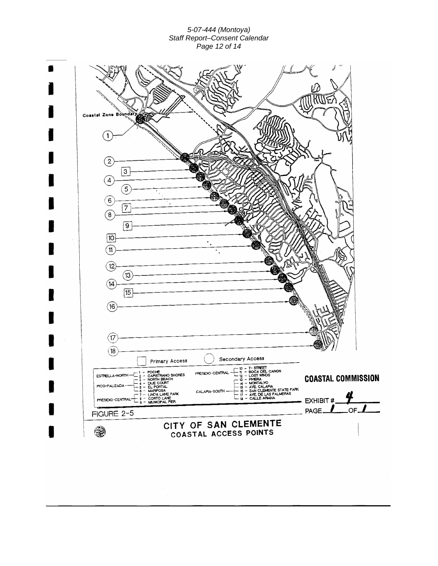### *5-07-444 (Montoya) Staff Report–Consent Calendar Page 12 of 14*

| Coastal Zone Boundar                                        |                                                                                                                                                                                                         |                                               |                                                                                                                                                                                                                                |                                        |  |
|-------------------------------------------------------------|---------------------------------------------------------------------------------------------------------------------------------------------------------------------------------------------------------|-----------------------------------------------|--------------------------------------------------------------------------------------------------------------------------------------------------------------------------------------------------------------------------------|----------------------------------------|--|
|                                                             |                                                                                                                                                                                                         |                                               |                                                                                                                                                                                                                                |                                        |  |
| $\left[ 2\right]$<br>3                                      |                                                                                                                                                                                                         |                                               |                                                                                                                                                                                                                                |                                        |  |
| 4<br>5<br>$\boxed{6}$                                       |                                                                                                                                                                                                         |                                               |                                                                                                                                                                                                                                |                                        |  |
| 7<br>8<br>9                                                 |                                                                                                                                                                                                         |                                               |                                                                                                                                                                                                                                |                                        |  |
| 10<br>$\boxed{11}$                                          |                                                                                                                                                                                                         |                                               |                                                                                                                                                                                                                                |                                        |  |
| $\boxed{12}$<br>(13                                         |                                                                                                                                                                                                         |                                               |                                                                                                                                                                                                                                |                                        |  |
| $\left(14\right)$<br>15<br>(16                              |                                                                                                                                                                                                         |                                               |                                                                                                                                                                                                                                |                                        |  |
|                                                             |                                                                                                                                                                                                         |                                               |                                                                                                                                                                                                                                |                                        |  |
| $\left(17\right)$<br>18                                     |                                                                                                                                                                                                         |                                               |                                                                                                                                                                                                                                |                                        |  |
| ESTRELLA-NORTH-<br>PICO-PALIZADA -<br>PRESIDIO-CENTRAL<br>ŧ | <b>Primary Access</b><br>POCHE<br>- 2 - CAPISTRANO SHORES<br>- 3 - NORTH BEACH<br>DUE COURT<br>-5 - EL PORTAL<br>- 6 - MARIPOSA<br>$-7 -$ LINDA LANE PARK<br>$ 8 -$ CORTO LANE<br>$ 9 -$ MUNICIPAL PIER | PRESIDIO-CENTRAL<br>CALAFIA-SOUTH             | Secondary Access<br>$10 - T - STPEET$<br>- 11 - BOCA DEL CANON<br>- 12 - LOST WINDS<br>$-13 - FNETA$<br>$-15 - AVE$ CALAFIA<br>- 16 - SAN CLEMENTE STATE PARK<br>- 17 - AVE DE LAS PALMERAS<br>$-18 - \overline{CALLE}$ ARIANA | <b>COASTAL COMMISSION</b><br>EXHIBIT # |  |
| FIGURE 2-5                                                  |                                                                                                                                                                                                         |                                               |                                                                                                                                                                                                                                | $OF-$<br>PAGE_                         |  |
|                                                             |                                                                                                                                                                                                         | CITY OF SAN CLEMENTE<br>COASTAL ACCESS POINTS |                                                                                                                                                                                                                                |                                        |  |
|                                                             |                                                                                                                                                                                                         |                                               |                                                                                                                                                                                                                                |                                        |  |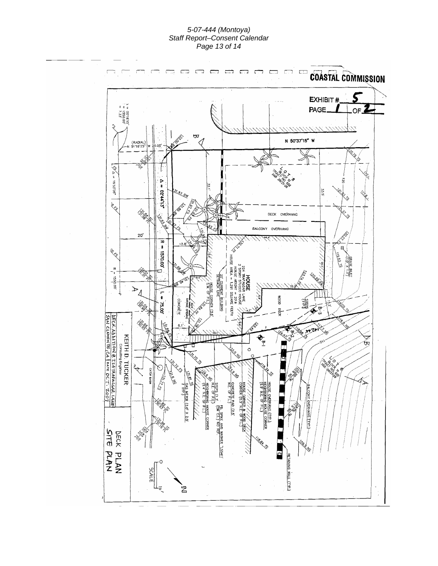#### *5-07-444 (Montoya) Staff Report–Consent Calendar Page 13 of 14*